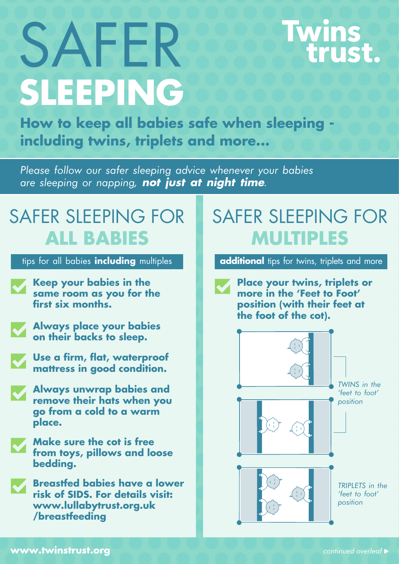# **SLEEPING** SAFER

# Twins<br>trust.

**How to keep all babies safe when sleeping including twins, triplets and more...**

*Please follow our safer sleeping advice whenever your babies are sleeping or napping,* **not just at night time***.*

#### SAFER SLEEPING FOR **ALL BABIES**

- **Keep your babies in the same room as you for the first six months.**
- **Always place your babies on their backs to sleep.**
- **Use a firm, flat, waterproof mattress in good condition.**
- **Always unwrap babies and remove their hats when you go from a cold to a warm place.**
- **Make sure the cot is free from toys, pillows and loose bedding.**

**Breastfed babies have a lower risk of SIDS. For details visit: www.lullabytrust.org.uk /breastfeeding**

### SAFER SLEEPING FOR **MULTIPLES**

tips for all babies **including** multiples **additional** tips for twins, triplets and more

**Place your twins, triplets or more in the 'Feet to Foot' position (with their feet at the foot of the cot).**



**www.twinstrust.org** *continued overleaf* �